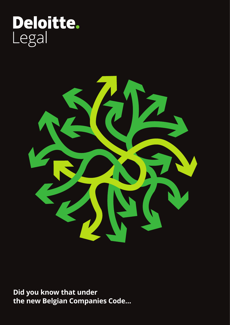# Deloitte. Legal



**Did you know that under the new Belgian Companies Code…**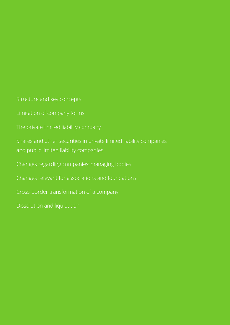Structure and key concepts

- Limitation of company forms
- The private limited liability company
- Shares and other securities in private limited liability companies and public limited liability companies
- Changes regarding companies' managing bodies
- Changes relevant for associations and foundations
- Cross-border transformation of a company
- Dissolution and liquidation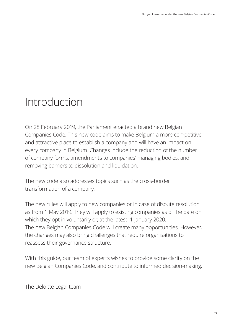### Introduction

On 28 February 2019, the Parliament enacted a brand new Belgian Companies Code. This new code aims to make Belgium a more competitive and attractive place to establish a company and will have an impact on every company in Belgium. Changes include the reduction of the number of company forms, amendments to companies' managing bodies, and removing barriers to dissolution and liquidation.

The new code also addresses topics such as the cross-border transformation of a company.

The new rules will apply to new companies or in case of dispute resolution as from 1 May 2019. They will apply to existing companies as of the date on which they opt in voluntarily or, at the latest, 1 January 2020. The new Belgian Companies Code will create many opportunities. However, the changes may also bring challenges that require organisations to reassess their governance structure.

With this guide, our team of experts wishes to provide some clarity on the new Belgian Companies Code, and contribute to informed decision-making.

The Deloitte Legal team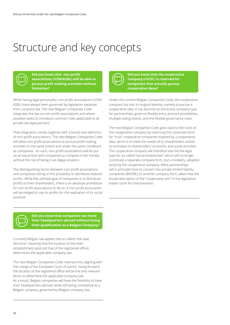### Structure and key concepts



**Did you know that non-profit associations (VZW/ASBL) will be able to pursue profit making activities without limitation?**

While having legal personality, non-profit associations (VZW/ ASBL) have always been governed by legislation separate from company law. The new Belgian Companies Code integrates the law on non-profit associations and where possible seeks to introduce common rules applicable to all private law legal persons.

That integration comes together with a brand new definition of non-profit associations. The new Belgian Companies Code will allow non-profit associations to pursue profit making activities to the same extent and under the same conditions as companies. As such, non-profit associations will be put on an equal foot with companies to compete in the market, without the risk of being in an illegal situation.

The distinguishing factor between non-profit associations and companies will lay in the possibility to distribute realized profits. While the ultimate goal of companies is to distribute profits to their shareholders, there is an absolute prohibition for non-profit associations to do so. A non-profit association will be obliged to use its profits for the realization of its social purpose.



**Did you know that the cooperative company (CV/SC) is reserved for companies that actually pursue cooperative ideas?**

Under the current Belgian Companies Code, the cooperative company has lost its original identity, namely to pursue a cooperative idea. It has become an attractive company type for partnerships, given its flexible entry and exit possibilities, multiple voting shares, and the flexible governance rules.

The new Belgian Companies Code goes back to the roots of the cooperative company by reserving this corporate form for "true" cooperative companies inspired by a cooperative idea, which is to meet the needs of its shareholders and/or to stimulate its shareholders' economic and social activities. The cooperative company will therefore also be the legal type for so-called "social enterprises", which will no longer constitute a separate company form, but a modality adopted (only) by the cooperative company. Mere partnerships will in principle have to convert into private limited liability companies (BV/SRL) or another company form, albeit that the broad description of the "cooperative aim" in the legislation leaves room for interpretation.



**Did you know that companies can move their headquarters abroad without losing their qualification as a Belgian Company?**

Currently Belgian law applies the so called "real seat doctrine", meaning that the location of the main establishment (and not that of the registered office) determines the applicable company law.

The new Belgian Companies Code reverses this, aligning with the rulings of the European Court of Justice. Going forward, the location of the registered office will be the only relevant factor to determine the applicable company law. As a result, Belgian companies will have the flexibility to have their headquarters abroad, while still being considered as a Belgian company, governed by Belgian company law.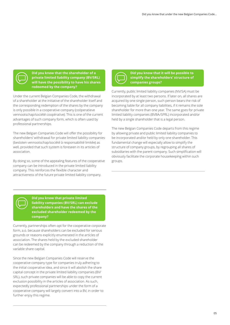

**Did you know that the shareholder of a private limited liability company (BV/SRL) will have the possibility to have his shares redeemed by the company?**

Under the current Belgian Companies Code, the withdrawal of a shareholder at the initiative of the shareholder itself and the corresponding redemption of the shares by the company is only possible in a cooperative company (coöperatieve vennootschap/société coopérative). This is one of the current advantages of such company form, which is often used by professional partnerships.

The new Belgian Companies Code will offer the possibility for shareholders' withdrawal for private limited liability companies (besloten vennootschap/société à responsabilité limitée) as well, provided that such system is foreseen in its articles of association.

By doing so, some of the appealing features of the cooperative company can be introduced in the private limited liability company. This reinforces the flexible character and attractiveness of the future private limited liability company.



**Did you know that it will be possible to simplify the shareholders' structure of companies groups?**

Currently, public limited liability companies (NV/SA) must be incorporated by at least two persons. If later on, all shares are acquired by one single person, such person bears the risk of becoming liable for all company liabilities, if it remains the sole shareholder for more than one year. The same goes for private limited liability companies (BVBA/SPRL) incorporated and/or held by a single shareholder that is a legal person.

The new Belgian Companies Code departs from this regime by allowing private and public limited liability companies to be incorporated and/or held by only one shareholder. This fundamental change will especially allow to simplify the structure of company groups, by regrouping all shares of subsidiaries with the parent company. Such simplification will obviously facilitate the corporate housekeeping within such groups.



**Did you know that private limited liability companies (BV/SRL) can exclude shareholders and have the shares of the excluded shareholder redeemed by the company?**

Currently, partnerships often opt for the cooperative corporate form, a.o. because shareholders can be excluded for serious grounds or reasons explicitly enumerated in the articles of association. The shares held by the excluded shareholder can be redeemed by the company through a reduction of the variable share capital.

Since the new Belgian Companies Code will reserve the cooperative company type for companies truly adhering to the initial cooperative idea, and since it will abolish the share capital concept in the private limited liability companies (BV/ SRL), such private companies will be able to copy the current exclusion possibility in the articles of association. As such, expectedly professional partnerships under the form of a cooperative company will largely convert into a BV, in order to further enjoy this regime.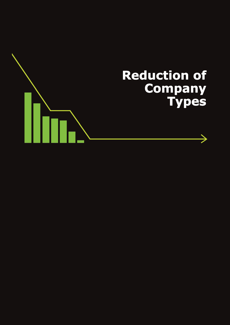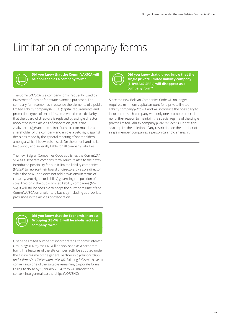### Limitation of company forms



**Did you know that the Comm.VA/SCA will be abolished as a company form?**

The Comm.VA/SCA is a company form frequently used by investment funds or for estate planning purposes. The company form combines in essence the elements of a public limited liability company (NV/SA) (capital requirements and protection, types of securities, etc.), with the particularity that the board of directors is replaced by a single director appointed in the articles of association (statutaire zaakvoerder/gérant statutaire). Such director must be a shareholder of the company and enjoys a veto right against decisions made by the general meeting of shareholders, amongst which his own dismissal. On the other hand he is held jointly and severally liable for all company liabilities.

The new Belgian Companies Code abolishes the Comm.VA/ SCA as a separate company form. Much relates to the newly introduced possibility for public limited liability companies (NV/SA) to replace their board of directors by a sole director. While the new Code does not add provisions (in terms of capacity, veto rights or liability) governing the position of the sole director in the public limited liability companies (NV/ SA), it will still be possible to adopt the current regime of the Comm.VA/SCA on a voluntary basis by including appropriate provisions in the articles of association.



**Did you know that the Economic Interest Grouping (ESV/GIE) will be abolished as a company form?**

Given the limited number of incorporated Economic Interest Groupings (EIG's), the EIG will be abolished as a corporate form. The features of the EIG can perfectly be adopted under the future regime of the general partnership *(vennootschap onder firma / société en nom collectif)*. Existing EIG's will have to convert into one of the suitable remaining corporate forms. Failing to do so by 1 January 2024, they will mandatorily convert into general partnerships (VOF/SNC).



**Did you know that did you know that the single private limited liability company (E-BVBA/S-SPRL) will disappear as a company form?**

Since the new Belgian Companies Code will no longer require a minimum capital amount for a private limited liability company *(BV/SRL)*, and will introduce the possibility to incorporate such company with only one promotor, there is no further reason to maintain the special regime of the single private limited liability company *(E-BVBA/S-SPRL)*. Hence, this also implies the deletion of any restriction on the number of single member companies a person can hold shares in.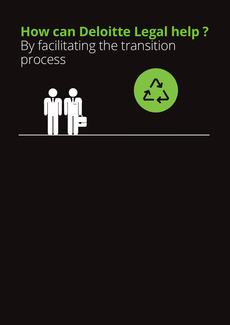## **How can Deloitte Legal help ?**  By facilitating the transition process



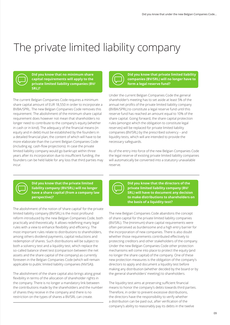### The private limited liability company



**Did you know that no minimum share capital requirements will apply to the private limited liability companies (BV/ SRL)?**

The current Belgian Companies Code requires a minimum share capital amount of EUR 18,550 in order to incorporate a BVBA/SPRL. The new Belgian Companies Code removes this requirement. The abolishment of the minimum share capital requirement does however not mean that shareholders no longer need to contribute to the company's equity (whether in cash or in kind). The adequacy of the financial means (in equity and in debt) must be established by the founders in a detailed financial plan, the content of which will have to be more elaborate than the current Belgian Companies Code (including eg. cash-flow projections). In case the private limited liability company would go bankrupt within three years after its incorporation due to insufficient funding, the founders can be held liable for any loss that third parties may incur.



**Did you know that private limited liability companies (BV/SRL) will no longer have to form a legal reserve fund?**

Under the current Belgian Companies Code the general shareholder's meeting has to set aside at least 5% of the annual net profits of the private limited liability company (BVBA/SPRL) to constitute a legal reserve fund until this reserve fund has reached an amount equal to 10% of the share capital. Going forward, the share capital protection rules (amongst which the obligation to constitute legal reserves) will be replaced for private limited liability companies (BV/SRL) by the prescribed solvency – and liquidity tests, which will are intended to provide the necessary safeguards.

As of the entry into force of the new Belgian Companies Code the legal reserve of existing private limited liability companies will automatically be converted into a statutory unavailable reserve.



**Did you know that the private limited liability company (BV/SRL) will no longer have a share capital (from a company law perspective)?**

The abolishment of the notion of 'share capital' for the private limited liability company (BV/SRL) is the most profound reform introduced by the new Belgian Companies Code, both practically and theoretically. It allows redefining many legal rules with a view to enhance flexibility and efficiency. The most important rules relate to distributions to shareholders, among others dividend payments, capital reductions and redemption of shares. Such distributions will be subject to both a solvency test and a liquidity test, which replace the so-called balance sheet test (comparison between the net assets and the share capital of the company) as currently foreseen in the Belgian Companies Code (which will remain applicable to public limited liability companies (NV/SA)).

The abolishment of the share capital also brings along great flexibility in terms of the allocation of shareholder rights in the company. There is no longer a mandatory link between the contributions made by the shareholders and the number of shares they receive in the company and there is no restriction on the types of shares a BV/SRL can create.



**Did you know that the directors of the private limited liability company (BV/ SRL) will have to document any decision to make distributions to shareholders on the basis of a liquidity test?**

The new Belgian Companies Code abandons the concept of share capital for the private limited liability companies (BV/SRL). The (minimum) share capital requirements were often perceived as burdensome and a high entry barrier for the incorporation of new companies. There is also doubt whether those requirements contributed effectively to protecting creditors and other stakeholders of the company. Under the new Belgian Companies Code other protection mechanisms will come into place to protect the equity (and no longer the share capital) of the company. One of these new protection measures is the obligation of the company's directors to apply and document a liquidity test before making any distribution (whether decided by the board or by the general shareholders' meeting) to shareholders.

The liquidity test aims at preserving sufficient financial means to honor the company's debts towards third parties. Therefore, in order to prevent excessive distributions, the directors have the responsibility to verify whether a distribution can be paid out, after verification of the company's ability to reasonably pay its debts in the twelve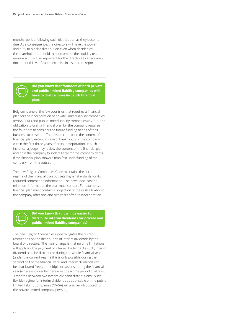months' period following such distribution as they become due. As a consequence, the directors will have the power and duty to block a distribution even when decided by the shareholders, should the outcome of the liquidity test require so. It will be important for the directors to adequately document this verification exercise in a separate report.



**Did you know that founders of both private and public limited liability companies will have to draft a more in-depth financial plan?**

Belgium is one of the few countries that requires a financial plan for the incorporation of private limited liability companies (BVBA/SPRL) and public limited liability companies (NV/SA). The obligation to draft a financial plan for the company requires the founders to consider the future funding needs of their business to be set up. There is no control on the content of the financial plan, except in case of bankruptcy of the company within the first three years after its incorporation. In such instance, a judge may review the content of the financial plan and hold the company founders liable for the company debts if the financial plan shows a manifest underfunding of the company from the outset.

The new Belgian Companies Code maintains the current regime of the financial plan but sets higher standards for its required content and information. The new Code lists the minimum information the plan must contain. For example, a financial plan must contain a projection of the cash situation of the company after one and two years after its incorporation.



**Did you know that it will be easier to distribute interim dividends for private and public limited liability companies?**

The new Belgian Companies Code mitigates the current restrictions on the distribution of interim dividends by the board of directors. The main change is that no time limitations will apply for the payment of interim dividends. As such, interim dividends can be distributed during the whole financial year (under the current regime this is only possible during the second half of the financial year) and interim dividends can be distributed freely at multiple occasions during the financial year (whereas currently there must be a time period of at least 3 months between two interim dividend distributions). Such flexible regime for interim dividends as applicable on the public limited liability companies (NV/SA) will also be introduced for the private limited company (BV/SRL).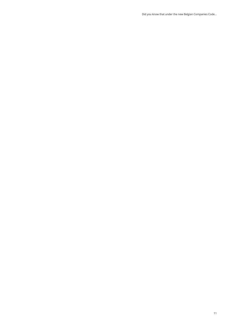Did you know that under the new Belgian Companies Code…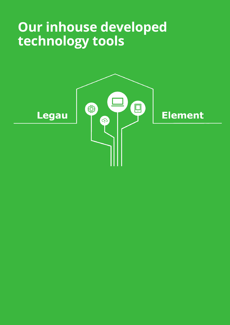## **Our inhouse developed technology tools**

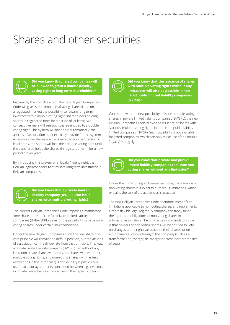### Shares and other securities



**Did you know that listed companies will be allowed to grant a double (loyalty) voting right to long term shareholders?**

Inspired by the French system, the new Belgian Companies Code will give listed companies (having shares listed on a regulated market) the possibility to reward long term investors with a double voting right: shareholders holding shares in registered form for a period of (at least) two consecutive years will see such shares entitled to a double voting right. This system will not apply automatically: the articles of association must explicitly provide for the system. As soon as the shares are transferred to another person or legal entity, the shares will lose their double voting right until the transferee holds the shares (in registered form) for a new period of two years.

By introducing this system of a "loyalty" voting right, the Belgian legislator seeks to stimulate long term investment in Belgian companies.



**Did you know that a private limited liability company (BV/SRL) can issue shares with multiple voting rights?**

The current Belgian Companies Code imposes a mandatory "one share one vote" rule for private limited liability companies (BVBA/SPRL), save for the possibility to issue nonvoting shares under certain strict conditions.

Under the new Belgian Companies Code the one share one vote principle will remain the default position, but the articles of association can freely deviate from that principle. This way, a private limited liability company (BV/SRL) can without any limitation create shares with one vote, shares with (various) multiple voting rights, and non-voting shares (with far less restrictions in the latter case). This flexibility is particularly useful to tailor agreements concluded between e.g. investors in private limited liability companies to their specific needs.



**Did you know that the issuance of shares with multiple voting rights without any limitations will also be possible in nonlisted public limited liability companies (NV/SA)?**

Consistent with the new possibility to issue multiple voting shares in private limited liability companies (BV/SRL), the new Belgian Companies Code allows the issuance of shares with (various) multiple voting rights in non-listed public liability limited companies (NV/SA). Such possibility is not available for listed companies, which can only make use of the double (loyalty) voting right.



**Did you know that private and public limited liability companies can issue nonvoting shares without any limitation?**

Under the current Belgian Companies Code, the issuance of non-voting shares is subject to numerous limitations, which explains the lack of attractiveness in practice.

The new Belgian Companies Code abandons most of the limitations applicable to non-voting shares, and implements a more flexible legal regime. A company can freely tailor the rights and obligations of non-voting shares in its articles of association. The only remaining mandatory rule is that holders of non-voting shares will be entitled to vote on changes to the rights attached to their shares, or on a fundamental restructuring of the company (such as a transformation, merger, de-merger or cross-border transfer of seat).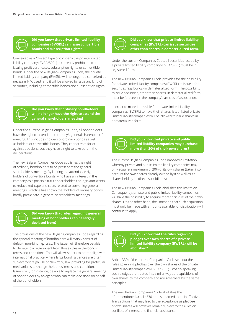

**Did you know that private limited liability companies (BV/SRL) can issue convertible bonds and subscription rights?**

Conceived as a "closed" type of company the private limited liability company (BVBA/SPRL) is currently prohibited from issuing profit certificates, subscription rights or convertible bonds. Under the new Belgian Companies Code, the private limited liability company (BV/SRL) will no longer be conceived as necessarily "closed" and it will be allowed to issue any kind of securities, including convertible bonds and subscription rights.

> **Did you know that ordinary bondholders will no longer have the right to attend the**

**general shareholders' meeting?**

Under the current Belgian Companies Code, all bondholders have the right to attend the company's general shareholders' meeting. This includes holders of ordinary bonds as well as holders of convertible bonds. They cannot vote for or against decisions, but they have a right to take part in the

The new Belgian Companies Code abolishes the right of ordinary bondholders to be present at the general shareholders' meeting. By limiting the attendance right to holders of convertible bonds, who have an interest in the company as a possible future shareholder, the legislator wants to reduce red-tape and costs related to convening general meetings. Practice has shown that holders of ordinary bonds hardly participate in general shareholders' meetings.



**Did you know that private limited liability companies (BV/SRL) can issue securities other than shares in dematerialized form?**

Under the current Companies Code, all securities issued by a private limited liability company (BVBA/SPRL) must be in registered form.

The new Belgian Companies Code provides for the possibility for private limited liability companies (BV/SRL) to issue debt securities (e.g. bonds) in dematerialized form. The possibility to issue securities, other than shares, in dematerialized form, must be foreseen in the company's articles of association.

In order to make it possible for private limited liability companies (BV/SRL) to have their shares listed, listed private limited liability companies will be allowed to issue shares in dematerialized form.



**Did you know that private and public limited liability companies may purchase more than 20% of their own shares?**

The current Belgian Companies Code imposes a limitation whereby private and public limited liability companies may only acquire a maximum of 20% of its own shares (taken into account the own shares already owned by it as well as its shares held by its direct subsidiaries).

The new Belgian Companies Code abolishes this limitation. Consequently, private and public limited liability companies will have the possibility to acquire more than 20% of their own shares. On the other hand, the limitation that such acquisition must only be made with amounts available for distribution will continue to apply.



deliberations.

**Did you know that rules regarding general meeting of bondholders can be largely deviated from?**

The provisions of the new Belgian Companies Code regarding the general meeting of bondholders will mainly consist of default, non-binding, rules. The issuer will therefore be able to deviate to a large extent from those rules in the bonds' terms and conditions. This will allow issuers to better align with international practice, where large bond issuances are often subject to foreign (UK or New York) law, providing for particular mechanisms to change the bonds' terms and conditions. Issuers will, for instance, be able to replace the general meeting of bondholders by an agent who can make decisions on behalf of the bondholders.



**Did you know that the rules regarding pledges over own shares of a private limited liability company (BV/SRL) will be abolished?**

Article 330 of the current Companies Code sets out the rules governing pledges over the own shares of the private limited liability companies (BVBA/SPRL). Broadly speaking, such pledges are treated in a similar way as acquisitions of own shares by the company and are governed by the same principles.

The new Belgian Companies Code abolishes the aforementioned article 330 as it is deemed to be ineffective. Transactions that may lead to the acceptance as pledgee of own shares will however remain subject to the rules on conflicts of interest and financial assistance.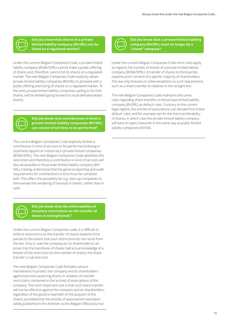

**Did you know that shares of a private limited liability company (BV/SRL) can be listed on a regulated market?**

Under the current Belgian Companies Code, a private limited liability company (BVBA/SPRL) cannot make a public offering of shares and, therefore, cannot list its shares on a regulated market. The new Belgian Companies Code explicitly allows private limited liability companies (BV/SRL) to proceed with a public offering and listing of shares on a regulated market. To this end, private limited liability companies opting to list their shares, will be allowed going forward to issue dematerialized shares.



**Did you know that contributions in kind in private limited liability companies (BV/SRL) can consist of services to be performed?**

The current Belgian Companies Code explicitly forbids a contribution in kind of services to be performed (inbreng in nijverheid /apport en industrie) in private limited companies (BVBA/SPRL). The new Belgian Companies Code abolishes this restriction and therefore a contribution in kind of services will also be possible in the private limited liability company (BV/ SRL), it being understood that the general reporting and audit requirements for contributions in kind must be complied with. This offers the possibility for e.g. start-up companies to remunerate the rendering of services in shares, rather than in cash.



**Did you know that the enforceability of statutory restrictions on the transfer of shares is strengthened ?**

Under the current Belgian Companies code, it is difficult to enforce restrictions on the transfer of shares towards third parties to the extent that such restrictions do not result from the law. Only in case the company (or its shareholders) can prove that the transferee of shares had actual knowledge of a breach of the restriction on the transfer of shares, the share transfer is null and void.

The new Belgian Companies Code foresees various mechanisms to protect the company and its shareholders against persons acquiring shares in violation of transfer restrictions contained in the articles of associations of the company. The most important one is that such share transfer will not be effective against the company and its shareholders, regardless of the good or bad faith of the acquirer of the shares, provided that the articles of associations have been validly published in the Annexes to the Belgian Official Journal.



**Did you know that a private limited liability company (BV/SRL) must no longer be a "closed" company?**

Under the current Belgian Companies Code strict rules apply as regards the transfer of shares of a private limited liability company (BVBA/SPRL). A transfer of shares to third parties requires prior consent of a specific majority of shareholders. The law only foresees in a few exceptions to such requirement, such as a share transfer to relatives in the straight line.

The new Belgian Companies Code maintains the same rules regarding share transfers in the private limited liability company (BV/SRL) as default rules. Contrary to the current legal regime, the articles of associations can deviate from these default rules, and for example opt for the free transferability of shares, in which case the private limited liability company will have an open character in the same way as public limited liability companies (NV/SA).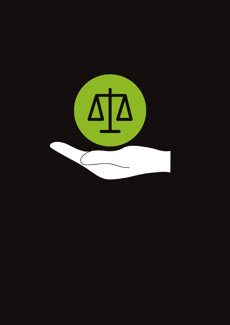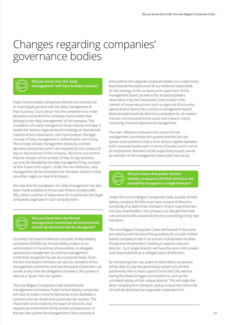#### Changes regarding companies' governance bodies



**Did you know that the 'daily management' will have broader powers?**

Public limited liability companies (NV/SA) can entrust one or more (legal) persons with the daily management of their business. Such person has the competence to make decisions and to bind the company in any matter that belongs to the 'daily management' of the company. The installation of a daily management body reduces red tape. It avoids the need to organize board meetings on operational matters of less importance. Until now however, the legal concept of daily management is defined quite restrictively. The concept of daily management obviously covered decisions and actions which are required for the conduct of day-to-day business of the company. Decisions and actions that are not part of the conduct of day-to-day business, can only be decided by the daily manager(s) if they are both of little impact and urgent. Under the new definition, daily management will be competent for the latter matters if they are either urgent or have little impact.

We note that the installation of a daily management has also been made available to the private limited company (BV/ SRL), which could be of importance for in particular the larger companies organized in such company form.



**Did you know that the formal management committee (directiecomité/ comité de direction) will be abrogated?**

Currently, the board of directors of public limited liability companies (NV/SA) has the possibility, subject to an authorization in the articles of association, to delegate operational management to a formal management committee recognized by law as a corporate body. Given the fact that board members can also be members of the management committee and that the board of directors can revoke at any time the delegation of powers, this system is seen as a "quasi"-two-tier system.

The new Belgian Companies Code abolishes the management committee. Public limited liability companies will have to make a more fundamental choice between a common one-tier board and a pure two-tier system. The choice will not be made by the board of directors, but requires an amendment of the articles of association. In the two-tier system the management of the company is

entrusted to two separate corporate bodies: (i) a supervisory board (toezichtsraad/conseil de surveillance) responsible for the strategy of the company and supervision of the management board, as well as for all special powers reserved to it by the Companies Code (mostly in the context of corporate actions such as approval of accounts, special board reports etc.); and (ii) a management board (directieraad/conseil de direction) competent for all matters that are not entrusted to the supervisory board, mainly consisting of overall operational management.

The main difference between the current formal management committee (old system) and the two-tier system (new system) is that a strict division applies between both corporate bodies both in terms of powers and in terms of composition. Members of the supervisory board cannot be member of the management board (and vice versa).



**Did you know that public limited liability companies (NV/SA) will have the possibility to appoint a single director?**

Under the current Belgian Companies Code, a public limited liability company (NV/SA) must have a board of directors, consisting of at least three members. Only in case there are only two shareholders, the company can deviate from that rule and work with a board of directors consisting of only two members.

The new Belgian Companies Codes will foresee in the same principle but will introduce the possibility for a public limited liability company to opt in its articles of association to allow the general shareholders' meeting to appoint only one director. Such single director will have the same role, powers and responsibilities as a collegial board of directors.

By introducing that rule, public limited liability companies will be able to copy the governance system of a limited partnership with a share capital (Comm.VA/CSA), without having the disadvantages connected to it, such as the unlimited liability of that unique director. This will make the latter company form obsolete, and as a result the Comm.VA/ SCA will be abolished as a separate corporate form.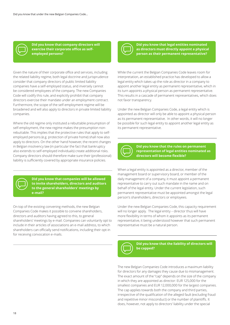

**Did you know that company directors will exercise their corporate office as selfemployed persons?**

Given the nature of their corporate office and services, including the related liability regime, both legal doctrine and jurisprudence consider that company directors of public limited liability companies have a self-employed status, and inversely cannot be considered employees of the company. The new Companies Code will codify this rule, and explicitly prohibit that company directors exercise their mandate under an employment contract. Furthermore, the scope of the self-employment regime will be broadened and will also apply to directors in private limited liability companies.

Where the old regime only instituted a rebuttable presumption of self-employment, the new regime makes the presumption nonrebuttable. This implies that the protective rules that apply to selfemployed persons (e.g. protection of private home) shall now also apply to directors. On the other hand however, the recent changes in Belgian insolvency law (in particular the fact that bankruptcy also extends to self-employed individuals) create additional risks. Company directors should therefore make sure their (professional) liability is sufficiently covered by appropriate insurance policies.



**Did you know that companies will be allowed to invite shareholders, directors and auditors to the general shareholders' meetings by e-mail?**

On top of the existing convening methods, the new Belgian Companies Code makes it possible to convene shareholders, directors and auditors having agreed to this, to general shareholders' meetings by e-mail. Companies can voluntarily opt to include in their articles of associations an e-mail address, to which shareholders can officially send notifications, including their opt-in for receiving convocation e-mails.



**Did you know that legal entities nominated as directors must directly appoint a physical person as their permanent representative?**

While the current the Belgian Companies Code leaves room for interpretation, an established practice has developed to allow a legal entity which takes up the role as director in a company to appoint another legal entity as permanent representative, which in its turn appoints a physical person as permanent representative. This results in a cascade of permanent representatives, which does not favor transparency.

Under the new Belgian Companies Code, a legal entity which is appointed as director will only be able to appoint a physical person as its permanent representative. In other words, it will no longer be possible for such legal entity to appoint another legal entity as its permanent representative.



**Did you know that the rules on permanent representation of legal entities nominated as directors will become flexible?**

When a legal entity is appointed as a director, member of the management board or supervisory board, or member of the daily management of a company, it must appoint a permanent representative to carry out such mandate in the name and on behalf of the legal entity. Under the current legislation, such permanent representative must be appointed amongst the legal person's shareholders, directors or employees.

Under the new Belgian Companies Code, this capacity requirement will no longer apply. The legal entity – director thus will have more flexibility in terms of whom it appoints as its permanent representative, it being understood however that such permanent representative must be a natural person.



**Did you know that the liability of directors will be capped?**

The new Belgian Companies Code introduces a maximum liability for directors for any damages they cause due to mismanagement. The exact amount of the "cap" depends on the size of the company in which they are appointed as director: EUR 125,000 for the smallest companies and EUR 12,000,000 for the largest companies. The cap applies towards both the company and third parties, irrespective of the qualification of the alleged fault (excluding fraud and repetitive minor misconduct) or the number of plaintiffs. It does, however, not apply to directors' liability under the special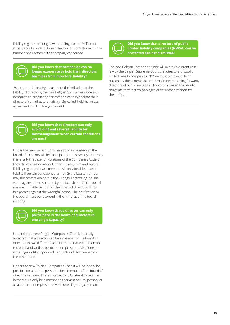liability regimes relating to withholding tax and VAT or for social security contributions. The cap is not multiplied by the number of directors of the company concerned.



**Did you know that companies can no longer exonerate or hold their directors harmless from directors' liability?**

As a counterbalancing measure to the limitation of the liability of directors, the new Belgian Companies Code also introduces a prohibition for companies to exonerate their directors from directors' liability. So-called 'hold-harmless agreements' will no longer be valid.



**Did you know that directors can only avoid joint and several liability for mismanagement when certain conditions are met?**

Under the new Belgian Companies Code members of the board of directors will be liable jointly and severally. Currently this is only the case for violations of the Companies Code or the articles of association. Under the new joint and several liability regime, a board member will only be able to avoid liability if certain conditions are met: (i) the board member may not have taken part in the wrongful action (eg. he/she voted against the resolution by the board) and (ii) the board member must have notified the board of directors of his/ her protest against the wrongful action. The notification to the board must be recorded in the minutes of the board meeting.



**Did you know that a director can only participate in the board of directors in one single capacity?**

Under the current Belgian Companies Code it is largely accepted that a director can be a member of the board of directors in two different capacities: as a natural person on the one hand, and as permanent representative of one or more legal entity appointed as director of the company on the other hand.

Under the new Belgian Companies Code it will no longer be possible for a natural person to be a member of the board of directors in those different capacities. A natural person can in the future only be a member either as a natural person, or as a permanent representative of one single legal person.



**Did you know that directors of public limited liability companies (NV/SA) can be protected against dismissal?**

The new Belgian Companies Code will overrule current case law by the Belgian Supreme Court that directors of public limited liability companies (NV/SA) must be revocable "at nutum" by the general shareholders' meeting. Going forward, directors of public limited liability companies will be able to negotiate termination packages or severance periods for their office.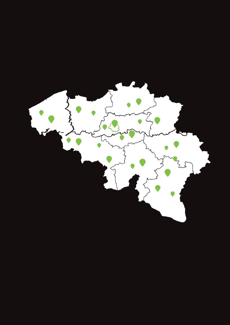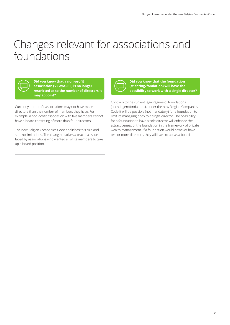### Changes relevant for associations and foundations



**Did you know that a non-profit association (VZW/ASBL) is no longer restricted as to the number of directors it may appoint?**

Currently non-profit associations may not have more directors than the number of members they have. For example: a non-profit association with five members cannot have a board consisting of more than four directors.

The new Belgian Companies Code abolishes this rule and sets no limitations. The change resolves a practical issue faced by associations who wanted all of its members to take up a board position.



**Did you know that the foundation (stichting/fondation) will have the possibility to work with a single director?**

Contrary to the current legal regime of foundations (stichtingen/fondations), under the new Belgian Companies Code it will be possible (not mandatory) for a foundation to limit its managing body to a single director. The possibility for a foundation to have a sole director will enhance the attractiveness of the foundation in the framework of private wealth management. If a foundation would however have two or more directors, they will have to act as a board.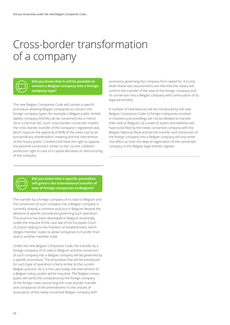### Cross-border transformation of a company



**Did you know that it will be possible to convert a Belgian company into a foreign company type?**

The new Belgian Companies Code will contain a specific procedure allowing Belgian companies to convert into foreign company types: for example a Belgian public limited liability company (NV/SA) can be converted into a French SA or a German AG. Such cross-border conversion implies the cross-border transfer of the company's registered seat, which requires the approval of 80% of the votes cast at an extraordinary shareholders' meeting and the intervention of the notary public. Creditors will have the right to oppose the planned conversion, similar to the current creditors' protection right in case of a capital decrease or restructuring of the company.

provisions governing the company form opted for. It is only when these two requirements are met that the notary will confirm the transfer of the seat of the foreign company and its conversion into a Belgian company with continuation of its legal personality.

A number of new features will be introduced by the new Belgian Companies Code: (i) foreign companies involved in insolvency proceedings will not be allowed to transfer their seat to Belgium, (ii) a state of assets and liabilities will have to be filed by the newly converted company with the Belgian National Bank and (iii) the transfer and conversion of the foreign company into a Belgian company will only enter into effect as from the date of registration of the converted company in the Belgian legal entities register.



**Did you know that a specific procedure will govern the international transfer of seat of foreign companies to Belgium?**

The transfer by a foreign company of its seat to Belgium and the conversion of such company into a Belgian company is currently already a common practice in Belgium despite the absence of specific procedures governing such operation. This practice has been developed in Belgium essentially under the impulse of the case law of the European Court of Justice relating to the freedom of establishment, which obliges member states to allow companies to transfer their seat to another member state.

Under the new Belgian Companies Code, the transfer by a foreign company of its seat to Belgium and the conversion of such company into a Belgian company will be governed by a specific procedure. The procedure that will be introduced for such type of operation is fairly similar to the current Belgian practice. As it is the case today, the intervention of a Belgian notary public will be required. The Belgian notary public will verify the compliance by the foreign company of the foreign rules concerning the cross-border transfer and compliance of the amendments to the articles of association of the newly converted Belgian company with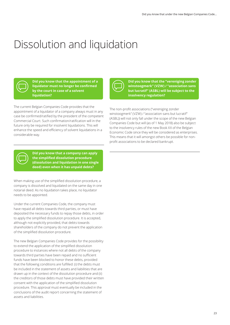### Dissolution and liquidation



**Did you know that the appointment of a liquidator must no longer be confirmed by the court in case of a solvent liquidation?**

The current Belgian Companies Code provides that the appointment of a liquidator of a company always must in any case be confirmed/ratified by the president of the competent Commercial Court. Such confirmation/ratification will in the future only be required for insolvent liquidations. This will enhance the speed and efficiency of solvent liquidations in a considerable way.



**Did you know that the "vereniging zonder winstoogmerk" (VZW) / "association sans but lucratif" (ASBL) will be subject to the insolvency regulation?**

The non-profit associations ("vereniging zonder winstoogmerk" (VZW) / "association sans but lucratif" (ASBL)) will not only fall under the scope of the new Belgian Companies Code but will (as of 1 May 2018) also be subject to the insolvency rules of the new Book XX of the Belgian Economic Code since they will be considered as enterprises. This means that it will amongst others be possible for nonprofit associations to be declared bankrupt.



**Did you know that a company can apply the simplified dissolution procedure (dissolution and liquidation in one single deed) even when it has unpaid debts?**

When making use of the simplified dissolution procedure, a company is dissolved and liquidated on the same day in one notarial deed. As no liquidation takes place, no liquidator needs to be appointed.

Under the current Companies Code, the company must have repaid all debts towards third parties, or must have deposited the necessary funds to repay those debts, in order to apply the simplified dissolution procedure. It is accepted, although not explicitly provided, that debts towards shareholders of the company do not prevent the application of the simplified dissolution procedure.

The new Belgian Companies Code provides for the possibility to extend the application of the simplified dissolution procedure to instances where not all debts of the company towards third parties have been repaid and no sufficient funds have been blocked to honor these debts, provided that the following conditions are fulfilled: (i) the debts must be included in the statement of assets and liabilities that are drawn up in the context of the dissolution procedure and (ii) the creditors of those debts must have provided their written consent with the application of the simplified dissolution procedure. This approval must eventually be included in the conclusions of the audit report concerning the statement of assets and liabilities.